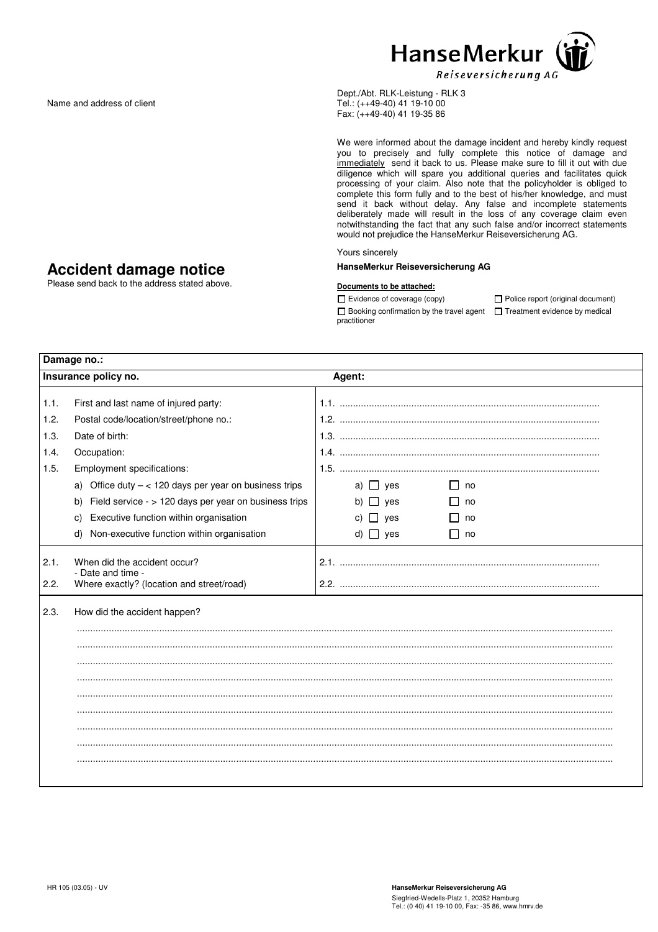

Dept./Abt. RLK-Leistung - RLK 3 Tel.: (++49-40) 41 19-10 00 Fax: (++49-40) 41 19-35 86

We were informed about the damage incident and hereby kindly request you to precisely and fully complete this notice of damage and immediately send it back to us. Please make sure to fill it out with due diligence which will spare you additional queries and facilitates quick processing of your claim. Also note that the policyholder is obliged to complete this form fully and to the best of his/her knowledge, and must send it back without delay. Any false and incomplete statements deliberately made will result in the loss of any coverage claim even notwithstanding the fact that any such false and/or incorrect statements would not prejudice the HanseMerkur Reiseversicherung AG.

## Yours sincerely

## HanseMerkur Reiseversicherung AG

## Documents to be attached:

 $\Box$  Booking confirmation by the travel agent  $\Box$  Treatment evidence by medical practitioner

 $\square$  Evidence of coverage (copy)  $\square$  Police report (original document)

| Damage no.:  |                                                                                                |                                     |  |  |  |
|--------------|------------------------------------------------------------------------------------------------|-------------------------------------|--|--|--|
|              | Insurance policy no.                                                                           | Agent:                              |  |  |  |
| 1.1.         | First and last name of injured party:                                                          |                                     |  |  |  |
| 1.2.         | Postal code/location/street/phone no.:                                                         |                                     |  |  |  |
| 1.3.         | Date of birth:                                                                                 |                                     |  |  |  |
| 1.4.         | Occupation:                                                                                    |                                     |  |  |  |
| 1.5.         | Employment specifications:                                                                     |                                     |  |  |  |
|              | a) Office duty $- < 120$ days per year on business trips                                       | a) $\Box$ yes<br>no<br>$\mathsf{L}$ |  |  |  |
|              | Field service - > 120 days per year on business trips<br>b)                                    | b) $\Box$ yes<br>no                 |  |  |  |
|              | Executive function within organisation<br>C)                                                   | c) $\Box$ yes<br>no                 |  |  |  |
|              | Non-executive function within organisation<br>d)                                               | d) $\Box$ yes<br>П<br>no            |  |  |  |
| 2.1.<br>2.2. | When did the accident occur?<br>- Date and time -<br>Where exactly? (location and street/road) |                                     |  |  |  |
| 2.3.         | How did the accident happen?                                                                   |                                     |  |  |  |
|              |                                                                                                |                                     |  |  |  |
|              |                                                                                                |                                     |  |  |  |
|              |                                                                                                |                                     |  |  |  |
|              |                                                                                                |                                     |  |  |  |
|              |                                                                                                |                                     |  |  |  |
|              |                                                                                                |                                     |  |  |  |
|              |                                                                                                |                                     |  |  |  |
|              |                                                                                                |                                     |  |  |  |
|              |                                                                                                |                                     |  |  |  |

## Accident damage notice

Name and address of client

Please send back to the address stated above.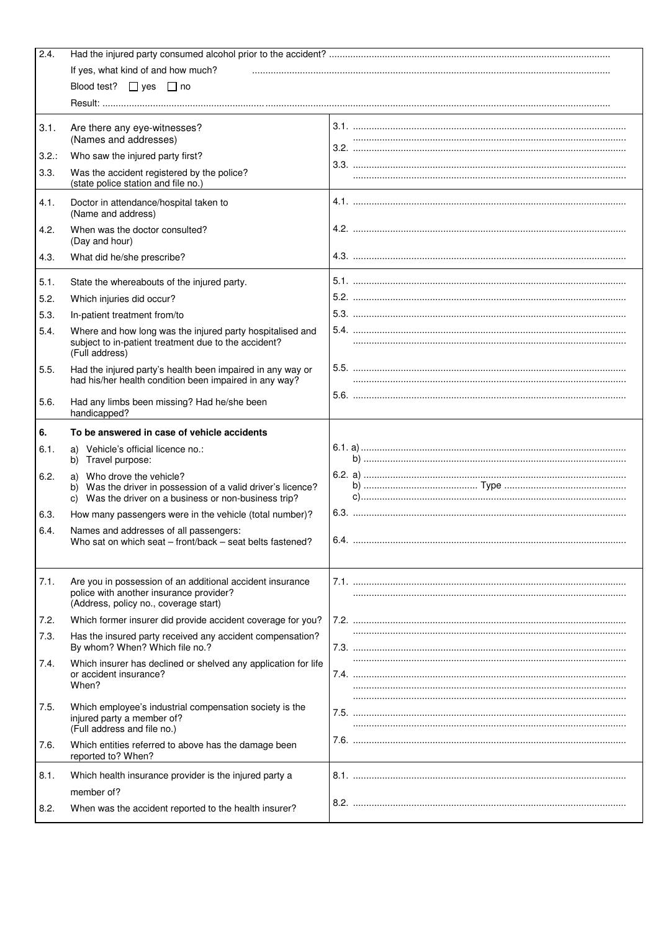| 2.4.     |                                                                                                                                                    |        |  |  |
|----------|----------------------------------------------------------------------------------------------------------------------------------------------------|--------|--|--|
|          | If yes, what kind of and how much?                                                                                                                 |        |  |  |
|          | Blood test? $\Box$ yes $\Box$ no                                                                                                                   |        |  |  |
|          |                                                                                                                                                    |        |  |  |
|          |                                                                                                                                                    |        |  |  |
| 3.1.     | Are there any eye-witnesses?<br>(Names and addresses)                                                                                              |        |  |  |
| $3.2.$ : | Who saw the injured party first?                                                                                                                   |        |  |  |
| 3.3.     | Was the accident registered by the police?<br>(state police station and file no.)                                                                  |        |  |  |
| 4.1.     | Doctor in attendance/hospital taken to<br>(Name and address)                                                                                       |        |  |  |
| 4.2.     | When was the doctor consulted?<br>(Day and hour)                                                                                                   |        |  |  |
| 4.3.     | What did he/she prescribe?                                                                                                                         |        |  |  |
| 5.1.     | State the whereabouts of the injured party.                                                                                                        |        |  |  |
| 5.2.     | Which injuries did occur?                                                                                                                          |        |  |  |
| 5.3.     | In-patient treatment from/to                                                                                                                       |        |  |  |
| 5.4.     | Where and how long was the injured party hospitalised and                                                                                          |        |  |  |
|          | subject to in-patient treatment due to the accident?<br>(Full address)                                                                             |        |  |  |
| 5.5.     | Had the injured party's health been impaired in any way or<br>had his/her health condition been impaired in any way?                               |        |  |  |
| 5.6.     | Had any limbs been missing? Had he/she been<br>handicapped?                                                                                        |        |  |  |
| 6.       | To be answered in case of vehicle accidents                                                                                                        |        |  |  |
| 6.1.     | a) Vehicle's official licence no.:<br>b) Travel purpose:                                                                                           |        |  |  |
| 6.2.     | a) Who drove the vehicle?<br>b) Was the driver in possession of a valid driver's licence?<br>c) Was the driver on a business or non-business trip? |        |  |  |
| 6.3.     | How many passengers were in the vehicle (total number)?                                                                                            |        |  |  |
| 6.4.     | Names and addresses of all passengers:<br>Who sat on which seat - front/back - seat belts fastened?                                                | $6.4.$ |  |  |
|          |                                                                                                                                                    |        |  |  |
| 7.1.     | Are you in possession of an additional accident insurance<br>police with another insurance provider?<br>(Address, policy no., coverage start)      |        |  |  |
| 7.2.     | Which former insurer did provide accident coverage for you?                                                                                        |        |  |  |
| 7.3.     | Has the insured party received any accident compensation?<br>By whom? When? Which file no.?                                                        |        |  |  |
| 7.4.     | Which insurer has declined or shelved any application for life<br>or accident insurance?<br>When?                                                  |        |  |  |
| 7.5.     | Which employee's industrial compensation society is the<br>injured party a member of?<br>(Full address and file no.)                               |        |  |  |
| 7.6.     | Which entities referred to above has the damage been<br>reported to? When?                                                                         |        |  |  |
| 8.1.     | Which health insurance provider is the injured party a                                                                                             |        |  |  |
|          | member of?                                                                                                                                         |        |  |  |
| 8.2.     | When was the accident reported to the health insurer?                                                                                              |        |  |  |